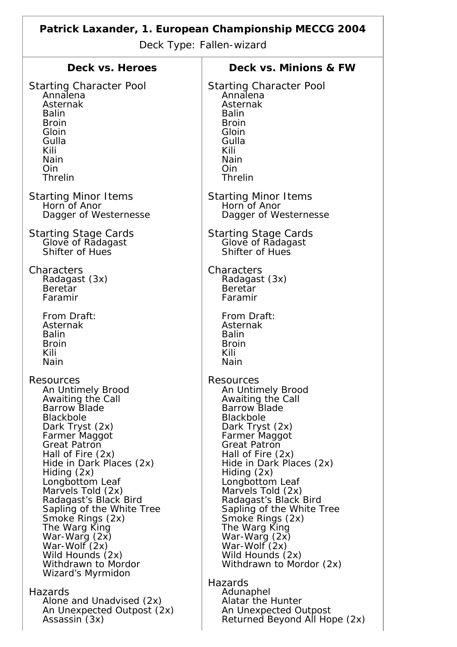| Patrick Laxander, 1. European Championship MECCG 2004<br>Deck Type: Fallen-wizard |                                                   |
|-----------------------------------------------------------------------------------|---------------------------------------------------|
| Deck vs. Heroes                                                                   | Deck vs. Minions & FW                             |
| <b>Starting Character Pool</b>                                                    | <b>Starting Character Pool</b>                    |
| Annalena                                                                          | Annalena                                          |
| Asternak                                                                          | Asternak                                          |
| <b>Balin</b>                                                                      | <b>Balin</b>                                      |
| <b>Broin</b>                                                                      | <b>Broin</b>                                      |
| Gloin                                                                             | Gloin                                             |
| Gulla                                                                             | Gulla                                             |
| Kili                                                                              | Kili                                              |
| <b>Nain</b>                                                                       | <b>Nain</b>                                       |
| <b>Oin</b>                                                                        | <b>Oin</b>                                        |
| <b>Threlin</b>                                                                    | <b>Threlin</b>                                    |
| <b>Starting Minor Items</b>                                                       | <b>Starting Minor Items</b>                       |
| Horn of Anor                                                                      | Horn of Anor                                      |
| Dagger of Westernesse                                                             | Dagger of Westernesse                             |
| <b>Starting Stage Cards<br/>Glove of Radagast</b>                                 | <b>Starting Stage Cards<br/>Glove of Radagast</b> |
| Shifter of Hues                                                                   | Shifter of Hues                                   |
| Characters                                                                        | Characters                                        |
| Radagast (3x)                                                                     | Radagast (3x)                                     |
| <b>Beretar</b>                                                                    | Beretar                                           |
| Faramir                                                                           | Faramir                                           |
| From Draft:                                                                       | From Draft:                                       |
| Asternak                                                                          | Asternak                                          |
| <b>Balin</b>                                                                      | <b>Balin</b>                                      |
| <b>Broin</b>                                                                      | <b>Broin</b>                                      |
| Kili                                                                              | Kili                                              |
| Nain                                                                              | Nain                                              |
| Resources                                                                         | Resources                                         |
| An Untimely Brood                                                                 | An Untimely Brood                                 |
| Awaiting the Call                                                                 | Awaiting the Call                                 |
| <b>Barrow Blade</b>                                                               | <b>Barrow Blade</b>                               |
| <b>Blackbole</b>                                                                  | <b>Blackbole</b>                                  |
| Dark Tryst (2x)                                                                   | Dark Tryst (2x)                                   |
| Farmer Maggot                                                                     | Farmer Maggot                                     |
| <b>Great Patron</b>                                                               | <b>Great Patron</b>                               |
| Hall of Fire (2x)                                                                 | Hall of Fire (2x)                                 |
| Hide in Dark Places (2x)                                                          | Hide in Dark Places (2x)                          |
| Hiding $(2x)$                                                                     | Hiding $(2x)$                                     |
| Longbottom Leaf                                                                   | Longbottom Leaf                                   |
| Marvels Told (2x)                                                                 | Marvels Told (2x)                                 |
| Radagast's Black Bird                                                             | Radagast's Black Bird                             |
| Sapling of the White Tree                                                         | Sapling of the White Tree                         |
| Smoke Rings (2x)                                                                  | Smoke Rings (2x)                                  |
| The Warg King                                                                     | The Warg King                                     |
| War-Warg (2x)                                                                     | War-Warg (2x)                                     |
| War-Wolf $(2x)$                                                                   | War-Wolf (2x)                                     |
| Wild Hounds (2x)                                                                  | Wild Hounds (2x)                                  |
| Withdrawn to Mordor                                                               | Withdrawn to Mordor (2x)                          |
| Wizard's Myrmidon                                                                 | Hazards                                           |
| Hazards                                                                           | Adunaphel                                         |
| Alone and Unadvised (2x)                                                          | Alatar the Hunter                                 |
| An Unexpected Outpost (2x)                                                        | An Unexpected Outpost                             |
| Assassin (3x)                                                                     | Returned Beyond All Hope (2x)                     |